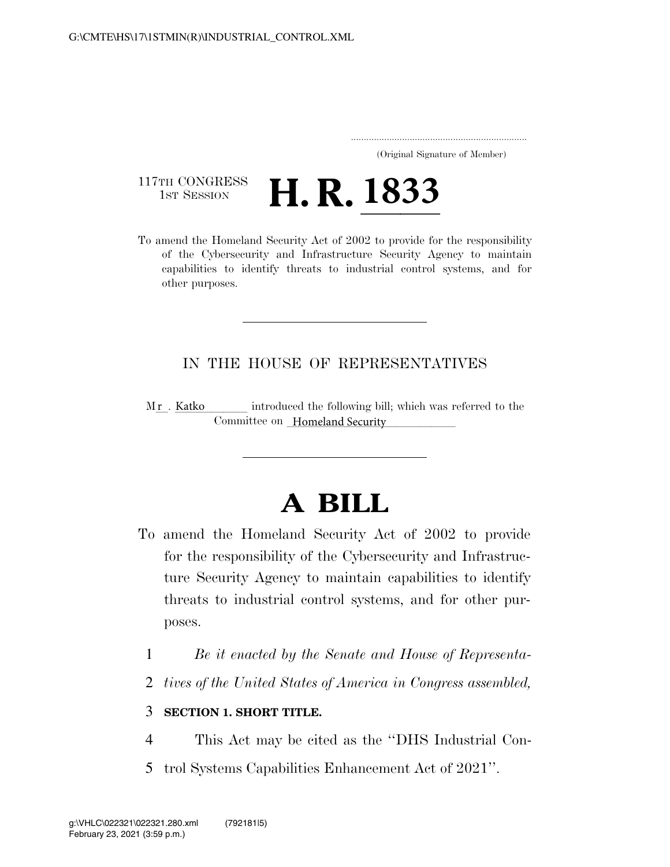..................................................................... (Original Signature of Member)

117TH CONGRESS<br>1st Session

117TH CONGRESS **H. R. 1833**<br>To amend the Homeland Security Act of 2002 to provide for the responsibility of the Cybersecurity and Infrastructure Security Agency to maintain capabilities to identify threats to industrial control systems, and for other purposes.

## IN THE HOUSE OF REPRESENTATIVES

introduced the following bill; which was referred to the Committee on Homeland Security Mr. Katko

## **A BILL**

- To amend the Homeland Security Act of 2002 to provide for the responsibility of the Cybersecurity and Infrastructure Security Agency to maintain capabilities to identify threats to industrial control systems, and for other purposes.
	- 1 *Be it enacted by the Senate and House of Representa-*
	- 2 *tives of the United States of America in Congress assembled,*

## 3 **SECTION 1. SHORT TITLE.**

- 4 This Act may be cited as the ''DHS Industrial Con-
- 5 trol Systems Capabilities Enhancement Act of 2021''.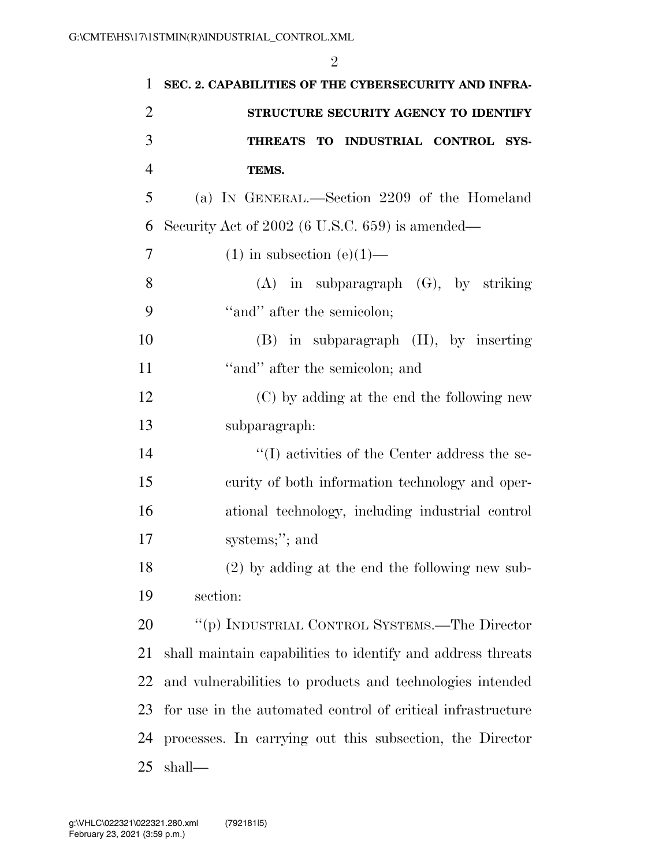| $\mathbf{1}$   | SEC. 2. CAPABILITIES OF THE CYBERSECURITY AND INFRA-        |
|----------------|-------------------------------------------------------------|
| $\overline{2}$ | STRUCTURE SECURITY AGENCY TO IDENTIFY                       |
| 3              | THREATS TO INDUSTRIAL CONTROL<br>SYS-                       |
| $\overline{4}$ | TEMS.                                                       |
| 5              | (a) IN GENERAL.—Section 2209 of the Homeland                |
| 6              | Security Act of 2002 (6 U.S.C. 659) is amended—             |
| 7              | $(1)$ in subsection $(e)(1)$ —                              |
| 8              | $(A)$ in subparagraph $(G)$ , by striking                   |
| 9              | "and" after the semicolon;                                  |
| 10             | $(B)$ in subparagraph $(H)$ , by inserting                  |
| 11             | "and" after the semicolon; and                              |
| 12             | (C) by adding at the end the following new                  |
| 13             | subparagraph:                                               |
| 14             | "(I) activities of the Center address the se-               |
| 15             | curity of both information technology and oper-             |
| 16             | ational technology, including industrial control            |
| 17             | systems;"; and                                              |
| 18             | $(2)$ by adding at the end the following new sub-           |
| 19             | section:                                                    |
| 20             | "(p) INDUSTRIAL CONTROL SYSTEMS.—The Director               |
| 21             | shall maintain capabilities to identify and address threats |
| 22             | and vulnerabilities to products and technologies intended   |
| 23             | for use in the automated control of critical infrastructure |
| 24             | processes. In carrying out this subsection, the Director    |
| 25             | shall—                                                      |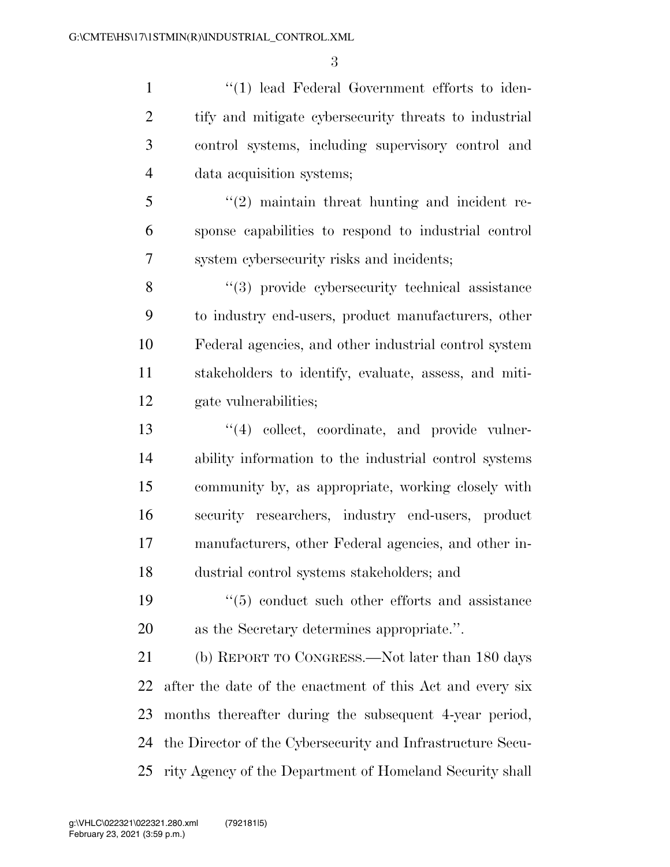1 ''(1) lead Federal Government efforts to iden- tify and mitigate cybersecurity threats to industrial control systems, including supervisory control and data acquisition systems;

 ''(2) maintain threat hunting and incident re- sponse capabilities to respond to industrial control system cybersecurity risks and incidents;

8 ''(3) provide cybersecurity technical assistance to industry end-users, product manufacturers, other Federal agencies, and other industrial control system stakeholders to identify, evaluate, assess, and miti-gate vulnerabilities;

13 ''(4) collect, coordinate, and provide vulner- ability information to the industrial control systems community by, as appropriate, working closely with security researchers, industry end-users, product manufacturers, other Federal agencies, and other in-dustrial control systems stakeholders; and

19  $\frac{1}{2}$  (5) conduct such other efforts and assistance as the Secretary determines appropriate.''.

 (b) REPORT TO CONGRESS.—Not later than 180 days after the date of the enactment of this Act and every six months thereafter during the subsequent 4-year period, the Director of the Cybersecurity and Infrastructure Secu-rity Agency of the Department of Homeland Security shall